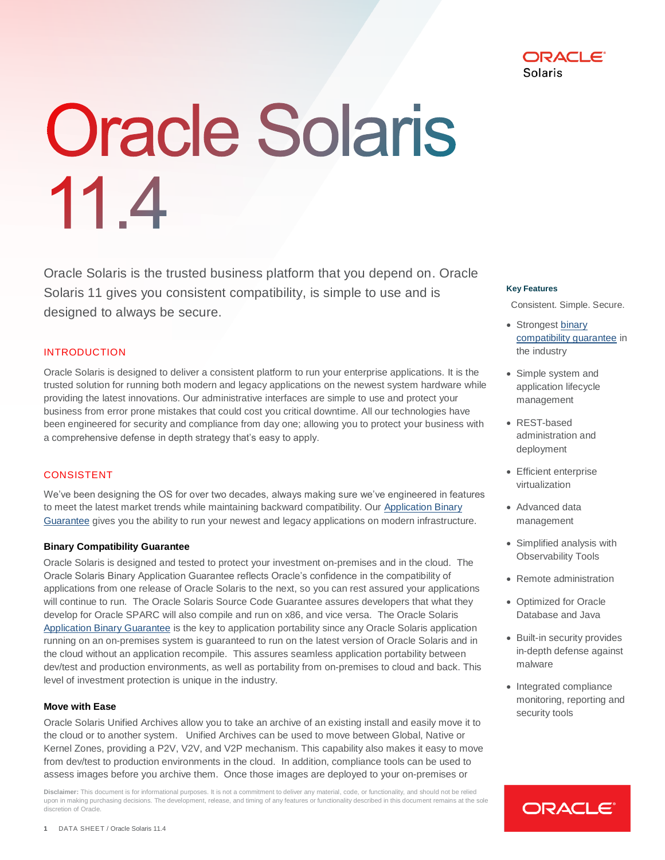

# **Oracle Solaris** 11.4

Oracle Solaris is the trusted business platform that you depend on. Oracle Solaris 11 gives you consistent compatibility, is simple to use and is designed to always be secure.

## INTRODUCTION

Oracle Solaris is designed to deliver a consistent platform to run your enterprise applications. It is the trusted solution for running both modern and legacy applications on the newest system hardware while providing the latest innovations. Our administrative interfaces are simple to use and protect your business from error prone mistakes that could cost you critical downtime. All our technologies have been engineered for security and compliance from day one; allowing you to protect your business with a comprehensive defense in depth strategy that's easy to apply.

# **CONSISTENT**

We've been designing the OS for over two decades, always making sure we've engineered in features to meet the latest market trends while maintaining backward compatibility. Our Application Binary [Guarantee](https://www.oracle.com/us/products/servers-storage/solaris/solaris-guarantee-program-1426902.pdf) gives you the ability to run your newest and legacy applications on modern infrastructure.

#### **Binary Compatibility Guarantee**

Oracle Solaris is designed and tested to protect your investment on-premises and in the cloud. The Oracle Solaris Binary Application Guarantee reflects Oracle's confidence in the compatibility of applications from one release of Oracle Solaris to the next, so you can rest assured your applications will continue to run. The Oracle Solaris Source Code Guarantee assures developers that what they develop for Oracle SPARC will also compile and run on x86, and vice versa. The Oracle Solaris [Application Binary Guarantee](https://www.oracle.com/us/products/servers-storage/solaris/solaris-guarantee-program-1426902.pdf) is the key to application portability since any Oracle Solaris application running on an on-premises system is guaranteed to run on the latest version of Oracle Solaris and in the cloud without an application recompile. This assures seamless application portability between dev/test and production environments, as well as portability from on-premises to cloud and back. This level of investment protection is unique in the industry.

#### **Move with Ease**

Oracle Solaris Unified Archives allow you to take an archive of an existing install and easily move it to the cloud or to another system. Unified Archives can be used to move between Global, Native or Kernel Zones, providing a P2V, V2V, and V2P mechanism. This capability also makes it easy to move from dev/test to production environments in the cloud. In addition, compliance tools can be used to assess images before you archive them. Once those images are deployed to your on-premises or

**Disclaimer:** This document is for informational purposes. It is not a commitment to deliver any material, code, or functionality, and should not be relied upon in making purchasing decisions. The development, release, and timing of any features or functionality described in this document remains at the sole discretion of Oracle.

#### **Key Features**

Consistent. Simple. Secure.

- Strongest [binary](https://www.oracle.com/us/products/servers-storage/solaris/solaris-guarantee-program-1426902.pdf)  [compatibility guarantee](https://www.oracle.com/us/products/servers-storage/solaris/solaris-guarantee-program-1426902.pdf) in the industry
- Simple system and application lifecycle management
- REST-based administration and deployment
- Efficient enterprise virtualization
- Advanced data management
- Simplified analysis with Observability Tools
- Remote administration
- Optimized for Oracle Database and Java
- Built-in security provides in-depth defense against malware
- Integrated compliance monitoring, reporting and security tools

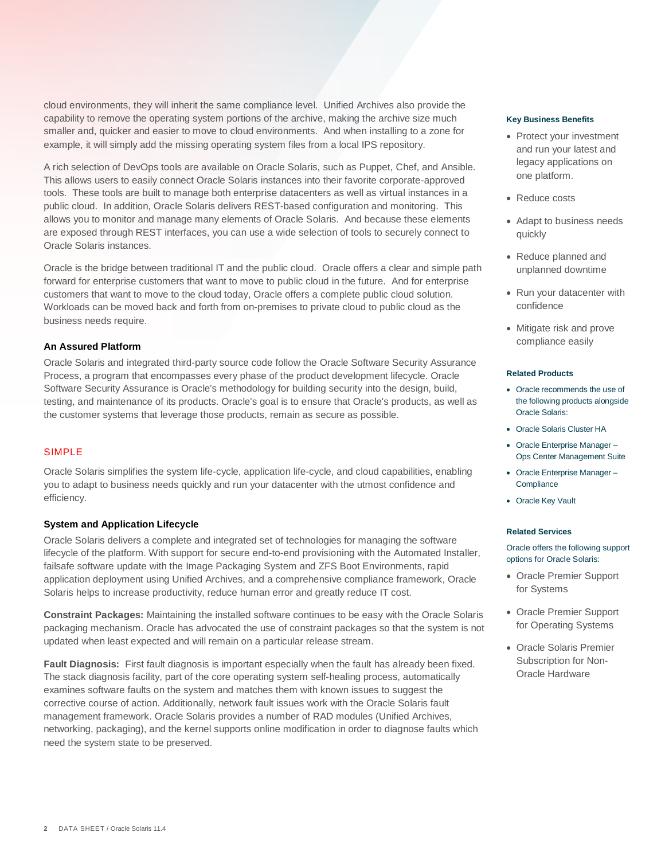cloud environments, they will inherit the same compliance level. Unified Archives also provide the capability to remove the operating system portions of the archive, making the archive size much smaller and, quicker and easier to move to cloud environments. And when installing to a zone for example, it will simply add the missing operating system files from a local IPS repository.

A rich selection of DevOps tools are available on Oracle Solaris, such as Puppet, Chef, and Ansible. This allows users to easily connect Oracle Solaris instances into their favorite corporate-approved tools. These tools are built to manage both enterprise datacenters as well as virtual instances in a public cloud. In addition, Oracle Solaris delivers REST-based configuration and monitoring. This allows you to monitor and manage many elements of Oracle Solaris. And because these elements are exposed through REST interfaces, you can use a wide selection of tools to securely connect to Oracle Solaris instances.

Oracle is the bridge between traditional IT and the public cloud. Oracle offers a clear and simple path forward for enterprise customers that want to move to public cloud in the future. And for enterprise customers that want to move to the cloud today, Oracle offers a complete public cloud solution. Workloads can be moved back and forth from on-premises to private cloud to public cloud as the business needs require.

#### **An Assured Platform**

Oracle Solaris and integrated third-party source code follow the Oracle Software Security Assurance Process, a program that encompasses every phase of the product development lifecycle. Oracle Software Security Assurance is Oracle's methodology for building security into the design, build, testing, and maintenance of its products. Oracle's goal is to ensure that Oracle's products, as well as the customer systems that leverage those products, remain as secure as possible.

# SIMPLE

Oracle Solaris simplifies the system life-cycle, application life-cycle, and cloud capabilities, enabling you to adapt to business needs quickly and run your datacenter with the utmost confidence and efficiency.

#### **System and Application Lifecycle**

Oracle Solaris delivers a complete and integrated set of technologies for managing the software lifecycle of the platform. With support for secure end-to-end provisioning with the Automated Installer, failsafe software update with the Image Packaging System and ZFS Boot Environments, rapid application deployment using Unified Archives, and a comprehensive compliance framework, Oracle Solaris helps to increase productivity, reduce human error and greatly reduce IT cost.

**Constraint Packages:** Maintaining the installed software continues to be easy with the Oracle Solaris packaging mechanism. Oracle has advocated the use of constraint packages so that the system is not updated when least expected and will remain on a particular release stream.

**Fault Diagnosis:** First fault diagnosis is important especially when the fault has already been fixed. The stack diagnosis facility, part of the core operating system self-healing process, automatically examines software faults on the system and matches them with known issues to suggest the corrective course of action. Additionally, network fault issues work with the Oracle Solaris fault management framework. Oracle Solaris provides a number of RAD modules (Unified Archives, networking, packaging), and the kernel supports online modification in order to diagnose faults which need the system state to be preserved.

#### **Key Business Benefits**

- Protect your investment and run your latest and legacy applications on one platform.
- Reduce costs
- Adapt to business needs quickly
- Reduce planned and unplanned downtime
- Run your datacenter with confidence
- Mitigate risk and prove compliance easily

#### **Related Products**

- Oracle recommends the use of the following products alongside Oracle Solaris:
- Oracle Solaris Cluster HA
- Oracle Enterprise Manager Ops Center Management Suite
- Oracle Enterprise Manager **Compliance**
- Oracle Key Vault

#### **Related Services**

Oracle offers the following support options for Oracle Solaris:

- Oracle Premier Support for Systems
- Oracle Premier Support for Operating Systems
- Oracle Solaris Premier Subscription for Non-Oracle Hardware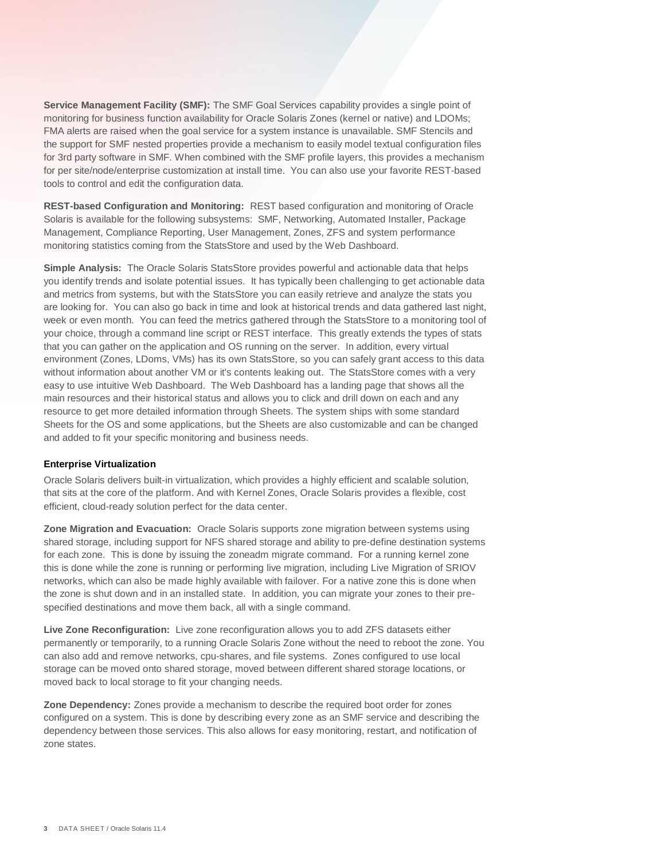**Service Management Facility (SMF):** The SMF Goal Services capability provides a single point of monitoring for business function availability for Oracle Solaris Zones (kernel or native) and LDOMs; FMA alerts are raised when the goal service for a system instance is unavailable. SMF Stencils and the support for SMF nested properties provide a mechanism to easily model textual configuration files for 3rd party software in SMF. When combined with the SMF profile layers, this provides a mechanism for per site/node/enterprise customization at install time. You can also use your favorite REST-based tools to control and edit the configuration data.

**REST-based Configuration and Monitoring:** REST based configuration and monitoring of Oracle Solaris is available for the following subsystems: SMF, Networking, Automated Installer, Package Management, Compliance Reporting, User Management, Zones, ZFS and system performance monitoring statistics coming from the StatsStore and used by the Web Dashboard.

**Simple Analysis:** The Oracle Solaris StatsStore provides powerful and actionable data that helps you identify trends and isolate potential issues. It has typically been challenging to get actionable data and metrics from systems, but with the StatsStore you can easily retrieve and analyze the stats you are looking for. You can also go back in time and look at historical trends and data gathered last night, week or even month. You can feed the metrics gathered through the StatsStore to a monitoring tool of your choice, through a command line script or REST interface. This greatly extends the types of stats that you can gather on the application and OS running on the server. In addition, every virtual environment (Zones, LDoms, VMs) has its own StatsStore, so you can safely grant access to this data without information about another VM or it's contents leaking out. The StatsStore comes with a very easy to use intuitive Web Dashboard. The Web Dashboard has a landing page that shows all the main resources and their historical status and allows you to click and drill down on each and any resource to get more detailed information through Sheets. The system ships with some standard Sheets for the OS and some applications, but the Sheets are also customizable and can be changed and added to fit your specific monitoring and business needs.

#### **Enterprise Virtualization**

Oracle Solaris delivers built-in virtualization, which provides a highly efficient and scalable solution, that sits at the core of the platform. And with Kernel Zones, Oracle Solaris provides a flexible, cost efficient, cloud-ready solution perfect for the data center.

**Zone Migration and Evacuation:** Oracle Solaris supports zone migration between systems using shared storage, including support for NFS shared storage and ability to pre-define destination systems for each zone. This is done by issuing the zoneadm migrate command. For a running kernel zone this is done while the zone is running or performing live migration, including Live Migration of SRIOV networks, which can also be made highly available with failover. For a native zone this is done when the zone is shut down and in an installed state.In addition, you can migrate your zones to their prespecified destinations and move them back, all with a single command.

**Live Zone Reconfiguration:** Live zone reconfiguration allows you to add ZFS datasets either permanently or temporarily, to a running Oracle Solaris Zone without the need to reboot the zone. You can also add and remove networks, cpu-shares, and file systems. Zones configured to use local storage can be moved onto shared storage, moved between different shared storage locations, or moved back to local storage to fit your changing needs.

**Zone Dependency:** Zones provide a mechanism to describe the required boot order for zones configured on a system. This is done by describing every zone as an SMF service and describing the dependency between those services. This also allows for easy monitoring, restart, and notification of zone states.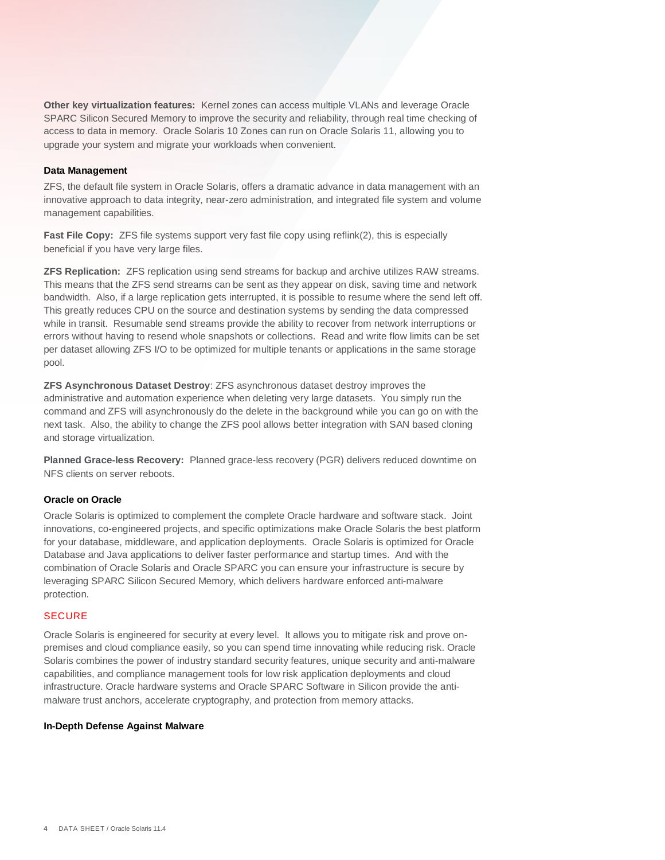**Other key virtualization features:** Kernel zones can access multiple VLANs and leverage Oracle SPARC Silicon Secured Memory to improve the security and reliability, through real time checking of access to data in memory.Oracle Solaris 10 Zones can run on Oracle Solaris 11, allowing you to upgrade your system and migrate your workloads when convenient.

#### **Data Management**

ZFS, the default file system in Oracle Solaris, offers a dramatic advance in data management with an innovative approach to data integrity, near-zero administration, and integrated file system and volume management capabilities.

**Fast File Copy:** ZFS file systems support very fast file copy using reflink(2), this is especially beneficial if you have very large files.

**ZFS Replication:** ZFS replication using send streams for backup and archive utilizes RAW streams. This means that the ZFS send streams can be sent as they appear on disk, saving time and network bandwidth. Also, if a large replication gets interrupted, it is possible to resume where the send left off. This greatly reduces CPU on the source and destination systems by sending the data compressed while in transit. Resumable send streams provide the ability to recover from network interruptions or errors without having to resend whole snapshots or collections. Read and write flow limits can be set per dataset allowing ZFS I/O to be optimized for multiple tenants or applications in the same storage pool.

**ZFS Asynchronous Dataset Destroy**: ZFS asynchronous dataset destroy improves the administrative and automation experience when deleting very large datasets. You simply run the command and ZFS will asynchronously do the delete in the background while you can go on with the next task. Also, the ability to change the ZFS pool allows better integration with SAN based cloning and storage virtualization.

**Planned Grace-less Recovery:** Planned grace-less recovery (PGR) delivers reduced downtime on NFS clients on server reboots.

#### **Oracle on Oracle**

Oracle Solaris is optimized to complement the complete Oracle hardware and software stack. Joint innovations, co-engineered projects, and specific optimizations make Oracle Solaris the best platform for your database, middleware, and application deployments. Oracle Solaris is optimized for Oracle Database and Java applications to deliver faster performance and startup times. And with the combination of Oracle Solaris and Oracle SPARC you can ensure your infrastructure is secure by leveraging SPARC Silicon Secured Memory, which delivers hardware enforced anti-malware protection.

## **SECURE**

Oracle Solaris is engineered for security at every level. It allows you to mitigate risk and prove onpremises and cloud compliance easily, so you can spend time innovating while reducing risk. Oracle Solaris combines the power of industry standard security features, unique security and anti-malware capabilities, and compliance management tools for low risk application deployments and cloud infrastructure. Oracle hardware systems and Oracle SPARC Software in Silicon provide the antimalware trust anchors, accelerate cryptography, and protection from memory attacks.

#### **In-Depth Defense Against Malware**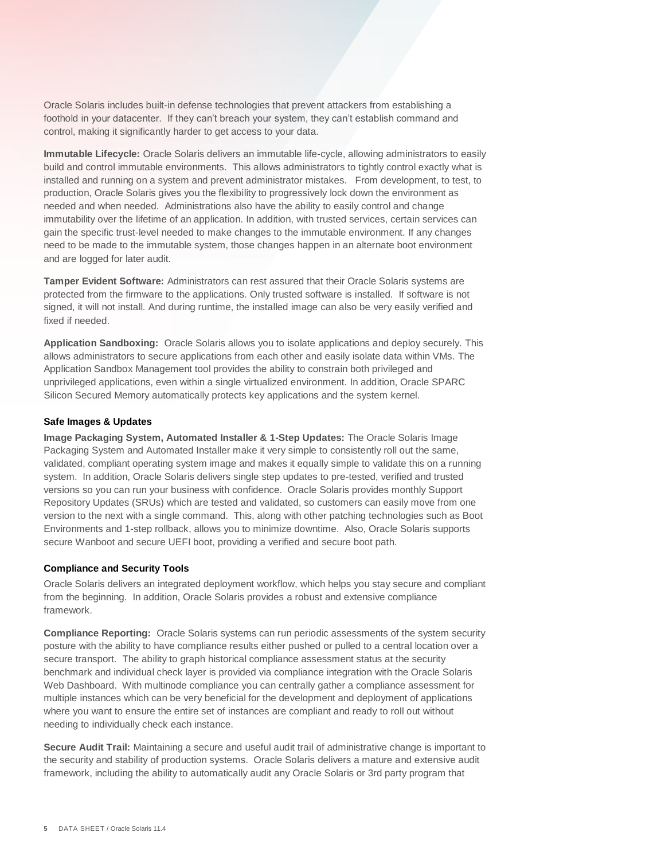Oracle Solaris includes built-in defense technologies that prevent attackers from establishing a foothold in your datacenter. If they can't breach your system, they can't establish command and control, making it significantly harder to get access to your data.

**Immutable Lifecycle:** Oracle Solaris delivers an immutable life-cycle, allowing administrators to easily build and control immutable environments. This allows administrators to tightly control exactly what is installed and running on a system and prevent administrator mistakes. From development, to test, to production, Oracle Solaris gives you the flexibility to progressively lock down the environment as needed and when needed. Administrations also have the ability to easily control and change immutability over the lifetime of an application. In addition, with trusted services, certain services can gain the specific trust-level needed to make changes to the immutable environment. If any changes need to be made to the immutable system, those changes happen in an alternate boot environment and are logged for later audit.

**Tamper Evident Software:** Administrators can rest assured that their Oracle Solaris systems are protected from the firmware to the applications. Only trusted software is installed. If software is not signed, it will not install. And during runtime, the installed image can also be very easily verified and fixed if needed.

**Application Sandboxing:** Oracle Solaris allows you to isolate applications and deploy securely. This allows administrators to secure applications from each other and easily isolate data within VMs. The Application Sandbox Management tool provides the ability to constrain both privileged and unprivileged applications, even within a single virtualized environment. In addition, Oracle SPARC Silicon Secured Memory automatically protects key applications and the system kernel.

## **Safe Images & Updates**

**Image Packaging System, Automated Installer & 1-Step Updates:** The Oracle Solaris Image Packaging System and Automated Installer make it very simple to consistently roll out the same. validated, compliant operating system image and makes it equally simple to validate this on a running system. In addition, Oracle Solaris delivers single step updates to pre-tested, verified and trusted versions so you can run your business with confidence. Oracle Solaris provides monthly Support Repository Updates (SRUs) which are tested and validated, so customers can easily move from one version to the next with a single command. This, along with other patching technologies such as Boot Environments and 1-step rollback, allows you to minimize downtime. Also, Oracle Solaris supports secure Wanboot and secure UEFI boot, providing a verified and secure boot path.

# **Compliance and Security Tools**

Oracle Solaris delivers an integrated deployment workflow, which helps you stay secure and compliant from the beginning. In addition, Oracle Solaris provides a robust and extensive compliance framework.

**Compliance Reporting:** Oracle Solaris systems can run periodic assessments of the system security posture with the ability to have compliance results either pushed or pulled to a central location over a secure transport. The ability to graph historical compliance assessment status at the security benchmark and individual check layer is provided via compliance integration with the Oracle Solaris Web Dashboard. With multinode compliance you can centrally gather a compliance assessment for multiple instances which can be very beneficial for the development and deployment of applications where you want to ensure the entire set of instances are compliant and ready to roll out without needing to individually check each instance.

**Secure Audit Trail:** Maintaining a secure and useful audit trail of administrative change is important to the security and stability of production systems. Oracle Solaris delivers a mature and extensive audit framework, including the ability to automatically audit any Oracle Solaris or 3rd party program that